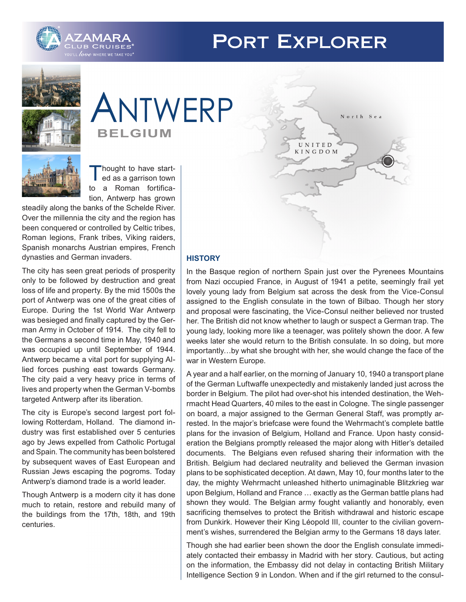







Thought to have start-<br>
ed as a garrison town to a Roman fortification, Antwerp has grown

steadily along the banks of the Schelde River. Over the millennia the city and the region has been conquered or controlled by Celtic tribes, Roman legions, Frank tribes, Viking raiders, Spanish monarchs Austrian empires, French dynasties and German invaders.

The city has seen great periods of prosperity only to be followed by destruction and great loss of life and property. By the mid 1500s the port of Antwerp was one of the great cities of Europe. During the 1st World War Antwerp was besieged and finally captured by the German Army in October of 1914. The city fell to the Germans a second time in May, 1940 and was occupied up until September of 1944. Antwerp became a vital port for supplying Allied forces pushing east towards Germany. The city paid a very heavy price in terms of lives and property when the German V-bombs targeted Antwerp after its liberation.

The city is Europe's second largest port following Rotterdam, Holland. The diamond industry was first established over 5 centuries ago by Jews expelled from Catholic Portugal and Spain. The community has been bolstered by subsequent waves of East European and Russian Jews escaping the pogroms. Today Antwerp's diamond trade is a world leader.

Though Antwerp is a modern city it has done much to retain, restore and rebuild many of the buildings from the 17th, 18th, and 19th centuries.



# **HISTORY**

In the Basque region of northern Spain just over the Pyrenees Mountains from Nazi occupied France, in August of 1941 a petite, seemingly frail yet lovely young lady from Belgium sat across the desk from the Vice-Consul assigned to the English consulate in the town of Bilbao. Though her story and proposal were fascinating, the Vice-Consul neither believed nor trusted her. The British did not know whether to laugh or suspect a German trap. The young lady, looking more like a teenager, was politely shown the door. A few weeks later she would return to the British consulate. In so doing, but more importantly…by what she brought with her, she would change the face of the war in Western Europe.

A year and a half earlier, on the morning of January 10, 1940 a transport plane of the German Luftwaffe unexpectedly and mistakenly landed just across the border in Belgium. The pilot had over-shot his intended destination, the Wehrmacht Head Quarters, 40 miles to the east in Cologne. The single passenger on board, a major assigned to the German General Staff, was promptly arrested. In the major's briefcase were found the Wehrmacht's complete battle plans for the invasion of Belgium, Holland and France. Upon hasty consideration the Belgians promptly released the major along with Hitler's detailed documents. The Belgians even refused sharing their information with the British. Belgium had declared neutrality and believed the German invasion plans to be sophisticated deception. At dawn, May 10, four months later to the day, the mighty Wehrmacht unleashed hitherto unimaginable Blitzkrieg war upon Belgium, Holland and France … exactly as the German battle plans had shown they would. The Belgian army fought valiantly and honorably, even sacrificing themselves to protect the British withdrawal and historic escape from Dunkirk. However their King Léopold III, counter to the civilian government's wishes, surrendered the Belgian army to the Germans 18 days later.

Though she had earlier been shown the door the English consulate immediately contacted their embassy in Madrid with her story. Cautious, but acting on the information, the Embassy did not delay in contacting British Military Intelligence Section 9 in London. When and if the girl returned to the consul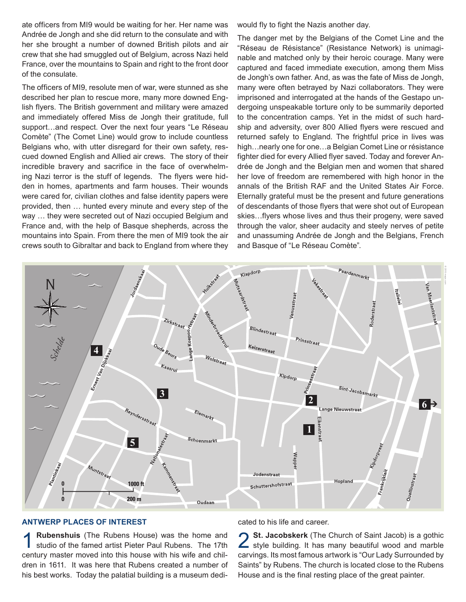ate officers from MI9 would be waiting for her. Her name was Andrée de Jongh and she did return to the consulate and with her she brought a number of downed British pilots and air crew that she had smuggled out of Belgium, across Nazi held France, over the mountains to Spain and right to the front door of the consulate.

The officers of MI9, resolute men of war, were stunned as she described her plan to rescue more, many more downed English flyers. The British government and military were amazed and immediately offered Miss de Jongh their gratitude, full support…and respect. Over the next four years "Le Réseau Comète" (The Comet Line) would grow to include countless Belgians who, with utter disregard for their own safety, rescued downed English and Allied air crews. The story of their incredible bravery and sacrifice in the face of overwhelming Nazi terror is the stuff of legends. The flyers were hidden in homes, apartments and farm houses. Their wounds were cared for, civilian clothes and false identity papers were provided, then … hunted every minute and every step of the way … they were secreted out of Nazi occupied Belgium and France and, with the help of Basque shepherds, across the mountains into Spain. From there the men of MI9 took the air crews south to Gibraltar and back to England from where they would fly to fight the Nazis another day.

The danger met by the Belgians of the Comet Line and the "Réseau de Résistance" (Resistance Network) is unimaginable and matched only by their heroic courage. Many were captured and faced immediate execution, among them Miss de Jongh's own father. And, as was the fate of Miss de Jongh, many were often betrayed by Nazi collaborators. They were imprisoned and interrogated at the hands of the Gestapo undergoing unspeakable torture only to be summarily deported to the concentration camps. Yet in the midst of such hardship and adversity, over 800 Allied flyers were rescued and returned safely to England. The frightful price in lives was high…nearly one for one…a Belgian Comet Line or résistance fighter died for every Allied flyer saved. Today and forever Andrée de Jongh and the Belgian men and women that shared her love of freedom are remembered with high honor in the annals of the British RAF and the United States Air Force. Eternally grateful must be the present and future generations of descendants of those flyers that were shot out of European skies…flyers whose lives and thus their progeny, were saved through the valor, sheer audacity and steely nerves of petite and unassuming Andrée de Jongh and the Belgians, French and Basque of "Le Réseau Comète".



#### **ANTWERP PLACES OF INTEREST**

**1 Rubenshuis** (The Rubens House) was the home and studio of the famed artist Pieter Paul Rubens. The 17th century master moved into this house with his wife and children in 1611. It was here that Rubens created a number of his best works. Today the palatial building is a museum dedicated to his life and career.

2 St. Jacobskerk (The Church of Saint Jacob) is a gothic style building. It has many beautiful wood and marble carvings. Its most famous artwork is "Our Lady Surrounded by Saints" by Rubens. The church is located close to the Rubens House and is the final resting place of the great painter.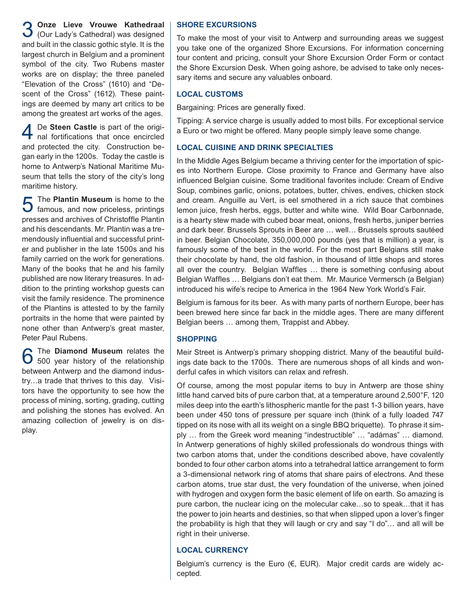3 **Onze Lieve Vrouwe Kathedraal** (Our Lady's Cathedral) was designed and built in the classic gothic style. It is the largest church in Belgium and a prominent symbol of the city. Two Rubens master works are on display; the three paneled "Elevation of the Cross" (1610) and "Descent of the Cross" (1612). These paintings are deemed by many art critics to be among the greatest art works of the ages.

4 De **Steen Castle** is part of the origi-nal fortifications that once encircled and protected the city. Construction began early in the 1200s. Today the castle is home to Antwerp's National Maritime Museum that tells the story of the city's long maritime history.

**5** The **Plantin Museum** is home to the  $\overline{\mathbf{U}}$  famous, and now priceless, printings presses and archives of Christoffle Plantin and his descendants. Mr. Plantin was a tremendously influential and successful printer and publisher in the late 1500s and his family carried on the work for generations. Many of the books that he and his family published are now literary treasures. In addition to the printing workshop guests can visit the family residence. The prominence of the Plantins is attested to by the family portraits in the home that were painted by none other than Antwerp's great master, Peter Paul Rubens.

**6** The **Diamond Museum** relates the 500 year history of the relationship between Antwerp and the diamond industry…a trade that thrives to this day. Visitors have the opportunity to see how the process of mining, sorting, grading, cutting and polishing the stones has evolved. An amazing collection of jewelry is on display.

# **SHORE EXCURSIONS**

To make the most of your visit to Antwerp and surrounding areas we suggest you take one of the organized Shore Excursions. For information concerning tour content and pricing, consult your Shore Excursion Order Form or contact the Shore Excursion Desk. When going ashore, be advised to take only necessary items and secure any valuables onboard.

### **LOCAL CUSTOMS**

Bargaining: Prices are generally fixed.

Tipping: A service charge is usually added to most bills. For exceptional service a Euro or two might be offered. Many people simply leave some change.

# **LOCAL CUISINE AND DRINK SPECIALTIES**

In the Middle Ages Belgium became a thriving center for the importation of spices into Northern Europe. Close proximity to France and Germany have also influenced Belgian cuisine. Some traditional favorites include: Cream of Endive Soup, combines garlic, onions, potatoes, butter, chives, endives, chicken stock and cream. Anguille au Vert, is eel smothered in a rich sauce that combines lemon juice, fresh herbs, eggs, butter and white wine. Wild Boar Carbonnade, is a hearty stew made with cubed boar meat, onions, fresh herbs, juniper berries and dark beer. Brussels Sprouts in Beer are … well… Brussels sprouts sautéed in beer. Belgian Chocolate, 350,000,000 pounds (yes that is million) a year, is famously some of the best in the world. For the most part Belgians still make their chocolate by hand, the old fashion, in thousand of little shops and stores all over the country. Belgian Waffles … there is something confusing about Belgian Waffles … Belgians don't eat them. Mr. Maurice Vermersch (a Belgian) introduced his wife's recipe to America in the 1964 New York World's Fair.

Belgium is famous for its beer. As with many parts of northern Europe, beer has been brewed here since far back in the middle ages. There are many different Belgian beers … among them, Trappist and Abbey.

#### **SHOPPING**

Meir Street is Antwerp's primary shopping district. Many of the beautiful buildings date back to the 1700s. There are numerous shops of all kinds and wonderful cafes in which visitors can relax and refresh.

Of course, among the most popular items to buy in Antwerp are those shiny little hand carved bits of pure carbon that, at a temperature around 2,500°F, 120 miles deep into the earth's lithospheric mantle for the past 1-3 billion years, have been under 450 tons of pressure per square inch (think of a fully loaded 747 tipped on its nose with all its weight on a single BBQ briquette). To phrase it simply … from the Greek word meaning "indestructible" … "adámas" … diamond. In Antwerp generations of highly skilled professionals do wondrous things with two carbon atoms that, under the conditions described above, have covalently bonded to four other carbon atoms into a tetrahedral lattice arrangement to form a 3-dimensional network ring of atoms that share pairs of electrons. And these carbon atoms, true star dust, the very foundation of the universe, when joined with hydrogen and oxygen form the basic element of life on earth. So amazing is pure carbon, the nuclear icing on the molecular cake…so to speak…that it has the power to join hearts and destinies, so that when slipped upon a lover's finger the probability is high that they will laugh or cry and say "I do"… and all will be right in their universe.

#### **LOCAL CURRENCY**

Belgium's currency is the Euro ( $\epsilon$ , EUR). Major credit cards are widely accepted.